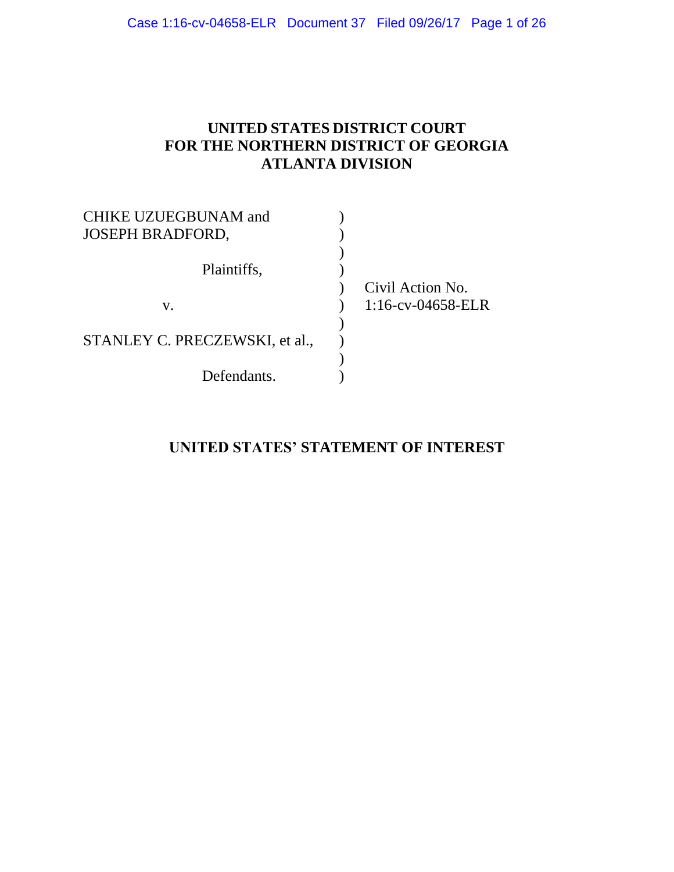## **UNITED STATES DISTRICT COURT FOR THE NORTHERN DISTRICT OF GEORGIA ATLANTA DIVISION**

| <b>CHIKE UZUEGBUNAM and</b><br><b>JOSEPH BRADFORD,</b> |                      |
|--------------------------------------------------------|----------------------|
|                                                        |                      |
| Plaintiffs,                                            |                      |
|                                                        | Civil Action No.     |
| V.                                                     | $1:16$ -cv-04658-ELR |
|                                                        |                      |
| STANLEY C. PRECZEWSKI, et al.,                         |                      |
|                                                        |                      |
| Defendants.                                            |                      |

## **UNITED STATES' STATEMENT OF INTEREST**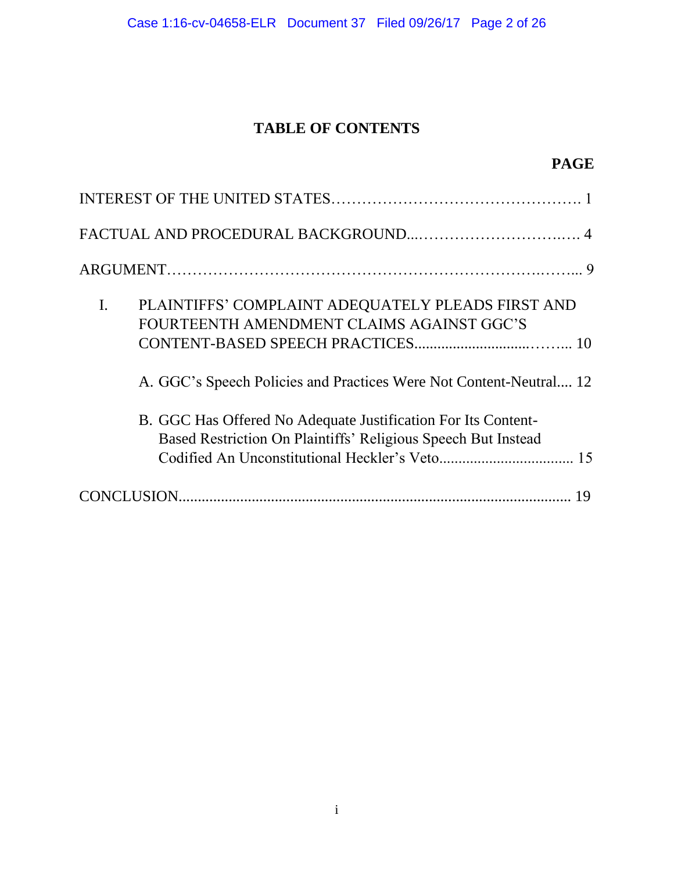## **TABLE OF CONTENTS**

| PLAINTIFFS' COMPLAINT ADEQUATELY PLEADS FIRST AND<br>I.<br>FOURTEENTH AMENDMENT CLAIMS AGAINST GGC'S                           |
|--------------------------------------------------------------------------------------------------------------------------------|
| A. GGC's Speech Policies and Practices Were Not Content-Neutral 12                                                             |
| B. GGC Has Offered No Adequate Justification For Its Content-<br>Based Restriction On Plaintiffs' Religious Speech But Instead |
|                                                                                                                                |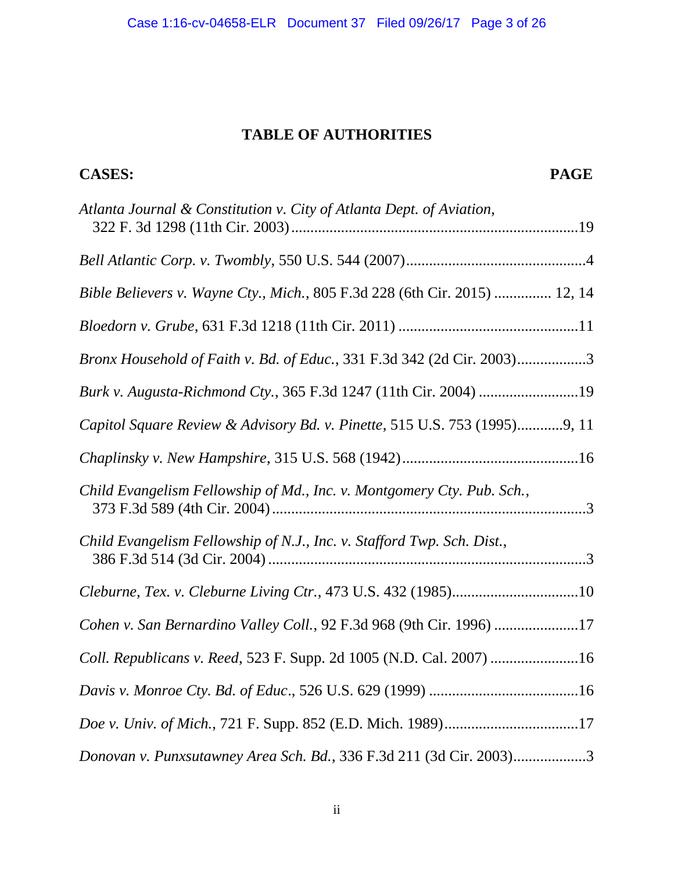## **TABLE OF AUTHORITIES**

**CASES: PAGE**

| Atlanta Journal & Constitution v. City of Atlanta Dept. of Aviation,       |
|----------------------------------------------------------------------------|
|                                                                            |
| Bible Believers v. Wayne Cty., Mich., 805 F.3d 228 (6th Cir. 2015)  12, 14 |
|                                                                            |
| Bronx Household of Faith v. Bd. of Educ., 331 F.3d 342 (2d Cir. 2003)3     |
| Burk v. Augusta-Richmond Cty., 365 F.3d 1247 (11th Cir. 2004) 19           |
| Capitol Square Review & Advisory Bd. v. Pinette, 515 U.S. 753 (1995)9, 11  |
|                                                                            |
| Child Evangelism Fellowship of Md., Inc. v. Montgomery Cty. Pub. Sch.,     |
| Child Evangelism Fellowship of N.J., Inc. v. Stafford Twp. Sch. Dist.,     |
| Cleburne, Tex. v. Cleburne Living Ctr., 473 U.S. 432 (1985)10              |
| Cohen v. San Bernardino Valley Coll., 92 F.3d 968 (9th Cir. 1996) 17       |
| Coll. Republicans v. Reed, 523 F. Supp. 2d 1005 (N.D. Cal. 2007) 16        |
|                                                                            |
| Doe v. Univ. of Mich., 721 F. Supp. 852 (E.D. Mich. 1989)17                |
| Donovan v. Punxsutawney Area Sch. Bd., 336 F.3d 211 (3d Cir. 2003)3        |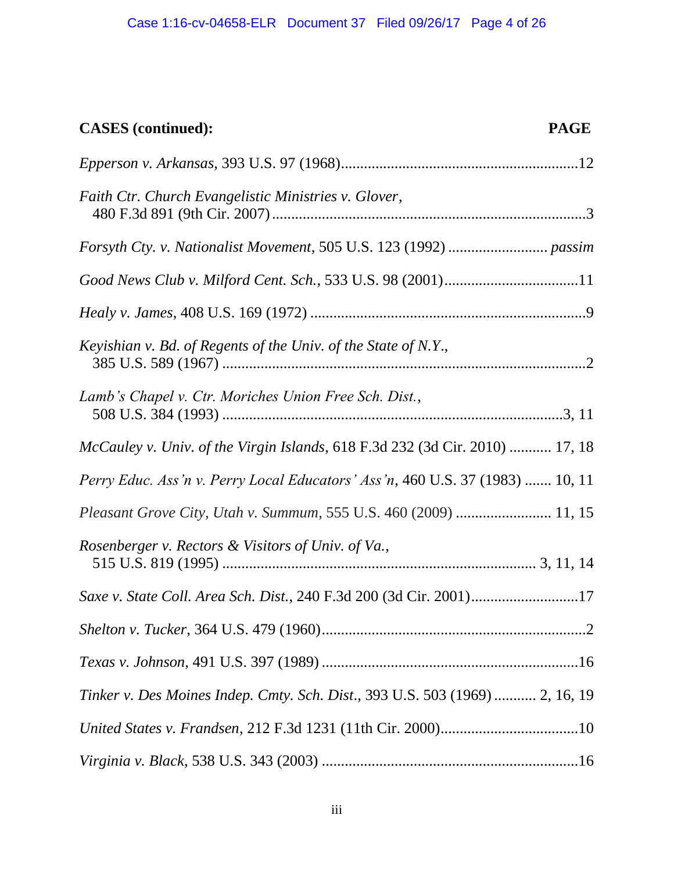# **CASES (continued): PAGE**

| Faith Ctr. Church Evangelistic Ministries v. Glover,                          |
|-------------------------------------------------------------------------------|
|                                                                               |
| Good News Club v. Milford Cent. Sch., 533 U.S. 98 (2001)11                    |
|                                                                               |
| Keyishian v. Bd. of Regents of the Univ. of the State of N.Y.,                |
| Lamb's Chapel v. Ctr. Moriches Union Free Sch. Dist.,                         |
| McCauley v. Univ. of the Virgin Islands, 618 F.3d 232 (3d Cir. 2010)  17, 18  |
| Perry Educ. Ass'n v. Perry Local Educators' Ass'n, 460 U.S. 37 (1983)  10, 11 |
| Pleasant Grove City, Utah v. Summum, 555 U.S. 460 (2009)  11, 15              |
| Rosenberger v. Rectors & Visitors of Univ. of Va.,                            |
| Saxe v. State Coll. Area Sch. Dist., 240 F.3d 200 (3d Cir. 2001)17            |
|                                                                               |
|                                                                               |
| Tinker v. Des Moines Indep. Cmty. Sch. Dist., 393 U.S. 503 (1969)  2, 16, 19  |
|                                                                               |
|                                                                               |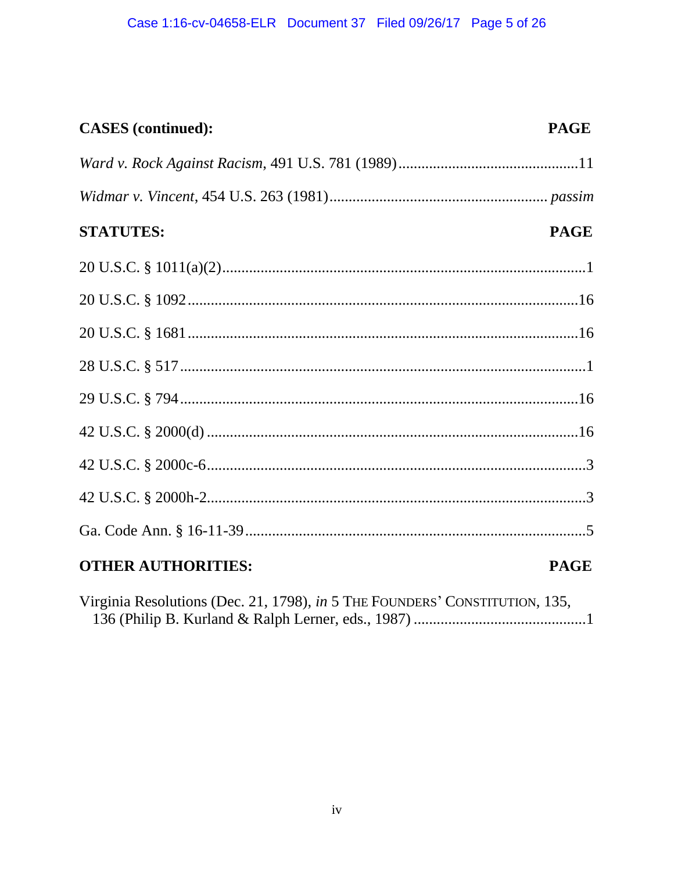## **CASES** (continued):

## **PAGE**

| <b>STATUTES:</b>                                                                                                                                                                                                              | <b>PAGE</b> |
|-------------------------------------------------------------------------------------------------------------------------------------------------------------------------------------------------------------------------------|-------------|
|                                                                                                                                                                                                                               |             |
|                                                                                                                                                                                                                               |             |
|                                                                                                                                                                                                                               |             |
|                                                                                                                                                                                                                               |             |
|                                                                                                                                                                                                                               |             |
|                                                                                                                                                                                                                               |             |
|                                                                                                                                                                                                                               |             |
|                                                                                                                                                                                                                               |             |
|                                                                                                                                                                                                                               |             |
| <b>OTHER AUTHORITIES:</b>                                                                                                                                                                                                     | <b>PAGE</b> |
| $W_1$ $W_2$ $W_3$ $W_4$ $W_5$ $W_6$ $W_7$ $W_8$ $W_9$ $W_9$ $W_9$ $W_9$ $W_9$ $W_9$ $W_9$ $W_9$ $W_9$ $W_9$ $W_9$ $W_9$ $W_9$ $W_9$ $W_9$ $W_9$ $W_9$ $W_9$ $W_9$ $W_9$ $W_9$ $W_9$ $W_9$ $W_9$ $W_9$ $W_9$ $W_9$ $W_9$ $W_9$ |             |

Virginia Resolutions (Dec. 21, 1798), in 5 THE FOUNDERS' CONSTITUTION, 135,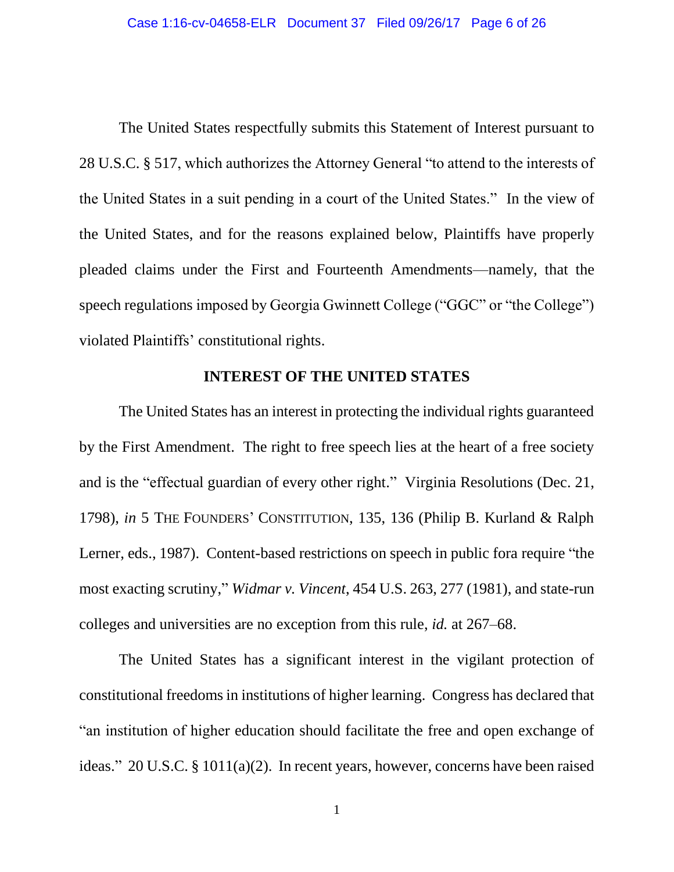The United States respectfully submits this Statement of Interest pursuant to 28 U.S.C. § 517, which authorizes the Attorney General "to attend to the interests of the United States in a suit pending in a court of the United States." In the view of the United States, and for the reasons explained below, Plaintiffs have properly pleaded claims under the First and Fourteenth Amendments—namely, that the speech regulations imposed by Georgia Gwinnett College ("GGC" or "the College") violated Plaintiffs' constitutional rights.

#### **INTEREST OF THE UNITED STATES**

The United States has an interest in protecting the individual rights guaranteed by the First Amendment. The right to free speech lies at the heart of a free society and is the "effectual guardian of every other right." Virginia Resolutions (Dec. 21, 1798), *in* 5 THE FOUNDERS' CONSTITUTION, 135, 136 (Philip B. Kurland & Ralph Lerner, eds., 1987). Content-based restrictions on speech in public fora require "the most exacting scrutiny," *Widmar v. Vincent*, 454 U.S. 263, 277 (1981), and state-run colleges and universities are no exception from this rule, *id.* at 267–68.

The United States has a significant interest in the vigilant protection of constitutional freedoms in institutions of higher learning. Congress has declared that "an institution of higher education should facilitate the free and open exchange of ideas." 20 U.S.C. § 1011(a)(2). In recent years, however, concerns have been raised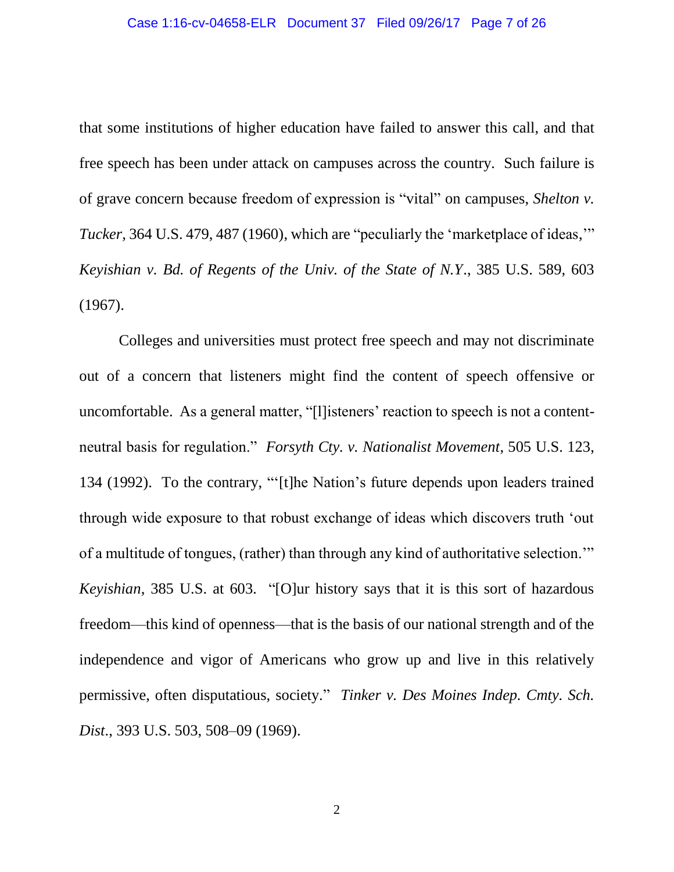that some institutions of higher education have failed to answer this call, and that free speech has been under attack on campuses across the country. Such failure is of grave concern because freedom of expression is "vital" on campuses, *Shelton v. Tucker*, 364 U.S. 479, 487 (1960), which are "peculiarly the 'marketplace of ideas," *Keyishian v. Bd. of Regents of the Univ. of the State of N.Y*., 385 U.S. 589, 603 (1967).

Colleges and universities must protect free speech and may not discriminate out of a concern that listeners might find the content of speech offensive or uncomfortable. As a general matter, "[l]isteners' reaction to speech is not a contentneutral basis for regulation." *Forsyth Cty. v. Nationalist Movement*, 505 U.S. 123, 134 (1992). To the contrary, "'[t]he Nation's future depends upon leaders trained through wide exposure to that robust exchange of ideas which discovers truth 'out of a multitude of tongues, (rather) than through any kind of authoritative selection.'" *Keyishian*, 385 U.S. at 603*.* "[O]ur history says that it is this sort of hazardous freedom—this kind of openness—that is the basis of our national strength and of the independence and vigor of Americans who grow up and live in this relatively permissive, often disputatious, society." *Tinker v. Des Moines Indep. Cmty. Sch. Dist*., 393 U.S. 503, 508–09 (1969).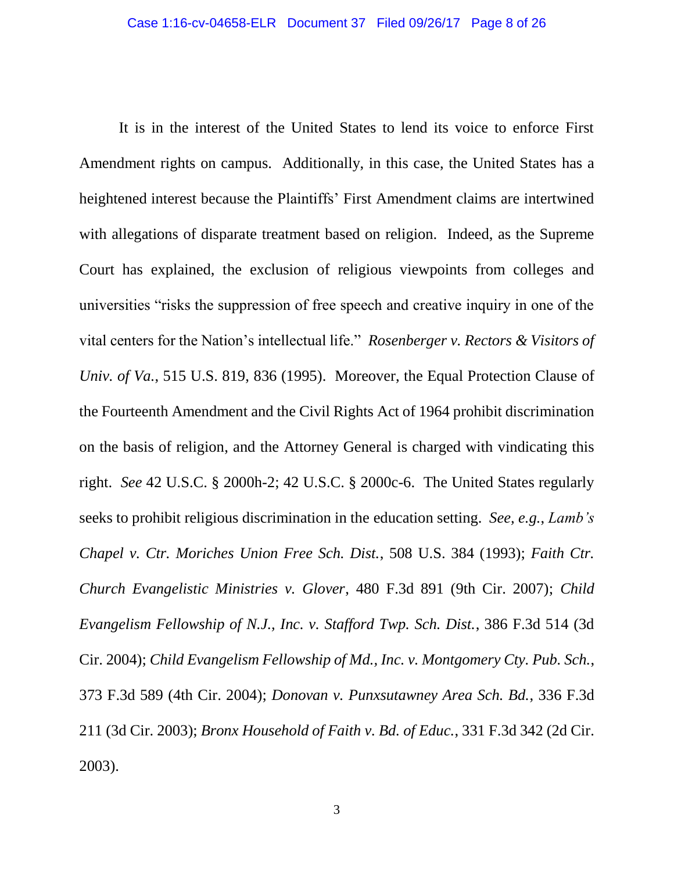It is in the interest of the United States to lend its voice to enforce First Amendment rights on campus. Additionally, in this case, the United States has a heightened interest because the Plaintiffs' First Amendment claims are intertwined with allegations of disparate treatment based on religion. Indeed, as the Supreme Court has explained, the exclusion of religious viewpoints from colleges and universities "risks the suppression of free speech and creative inquiry in one of the vital centers for the Nation's intellectual life." *Rosenberger v. Rectors & Visitors of Univ. of Va.*, 515 U.S. 819, 836 (1995). Moreover, the Equal Protection Clause of the Fourteenth Amendment and the Civil Rights Act of 1964 prohibit discrimination on the basis of religion, and the Attorney General is charged with vindicating this right. *See* 42 U.S.C. § 2000h-2; 42 U.S.C. § 2000c-6. The United States regularly seeks to prohibit religious discrimination in the education setting. *See, e.g.*, *Lamb's Chapel v. Ctr. Moriches Union Free Sch. Dist.*, 508 U.S. 384 (1993); *Faith Ctr. Church Evangelistic Ministries v. Glover*, 480 F.3d 891 (9th Cir. 2007); *Child Evangelism Fellowship of N.J., Inc. v. Stafford Twp. Sch. Dist.*, 386 F.3d 514 (3d Cir. 2004); *Child Evangelism Fellowship of Md., Inc. v. Montgomery Cty. Pub. Sch.*, 373 F.3d 589 (4th Cir. 2004); *Donovan v. Punxsutawney Area Sch. Bd.*, 336 F.3d 211 (3d Cir. 2003); *Bronx Household of Faith v. Bd. of Educ.*, 331 F.3d 342 (2d Cir. 2003).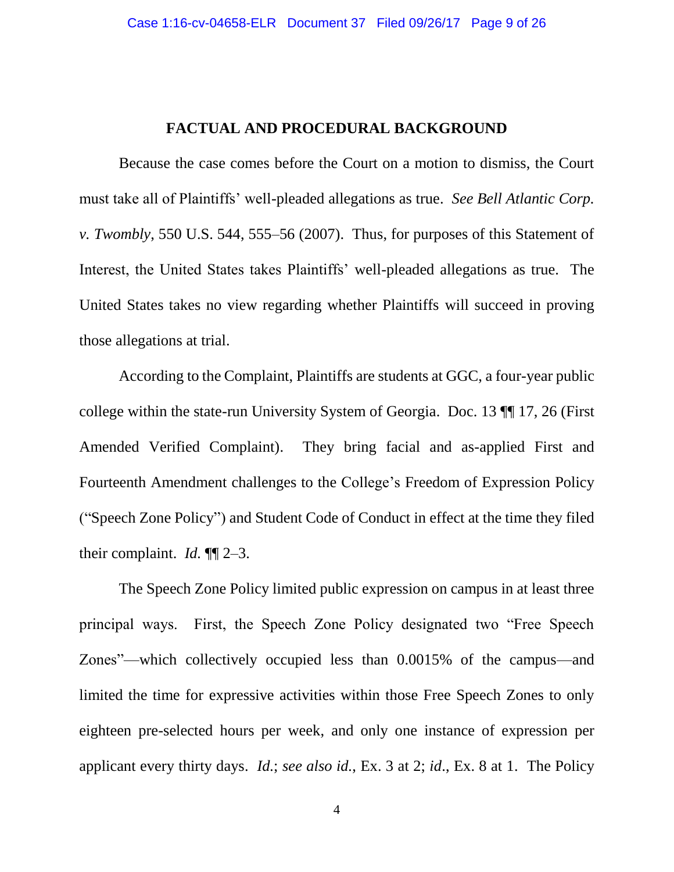#### **FACTUAL AND PROCEDURAL BACKGROUND**

Because the case comes before the Court on a motion to dismiss, the Court must take all of Plaintiffs' well-pleaded allegations as true. *See Bell Atlantic Corp. v. Twombly*, 550 U.S. 544, 555–56 (2007). Thus, for purposes of this Statement of Interest, the United States takes Plaintiffs' well-pleaded allegations as true. The United States takes no view regarding whether Plaintiffs will succeed in proving those allegations at trial.

According to the Complaint, Plaintiffs are students at GGC, a four-year public college within the state-run University System of Georgia. Doc. 13 ¶¶ 17, 26 (First Amended Verified Complaint). They bring facial and as-applied First and Fourteenth Amendment challenges to the College's Freedom of Expression Policy ("Speech Zone Policy") and Student Code of Conduct in effect at the time they filed their complaint. *Id.* ¶¶ 2–3.

The Speech Zone Policy limited public expression on campus in at least three principal ways. First, the Speech Zone Policy designated two "Free Speech Zones"—which collectively occupied less than 0.0015% of the campus—and limited the time for expressive activities within those Free Speech Zones to only eighteen pre-selected hours per week, and only one instance of expression per applicant every thirty days. *Id.*; *see also id.*, Ex. 3 at 2; *id*., Ex. 8 at 1. The Policy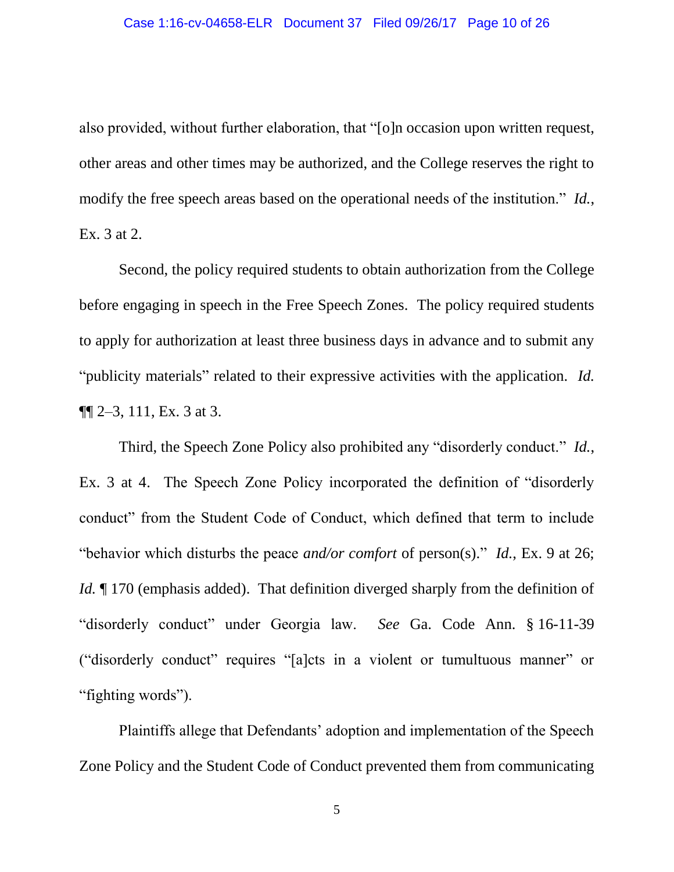also provided, without further elaboration, that "[o]n occasion upon written request, other areas and other times may be authorized, and the College reserves the right to modify the free speech areas based on the operational needs of the institution." *Id.*, Ex. 3 at 2.

Second, the policy required students to obtain authorization from the College before engaging in speech in the Free Speech Zones. The policy required students to apply for authorization at least three business days in advance and to submit any "publicity materials" related to their expressive activities with the application. *Id.*  $\P\P$  2–3, 111, Ex. 3 at 3.

Third, the Speech Zone Policy also prohibited any "disorderly conduct." *Id.*, Ex. 3 at 4. The Speech Zone Policy incorporated the definition of "disorderly conduct" from the Student Code of Conduct, which defined that term to include "behavior which disturbs the peace *and/or comfort* of person(s)." *Id.*, Ex. 9 at 26; *Id.*  $\llbracket$  170 (emphasis added). That definition diverged sharply from the definition of "disorderly conduct" under Georgia law. *See* Ga. Code Ann. § 16-11-39 ("disorderly conduct" requires "[a]cts in a violent or tumultuous manner" or "fighting words").

Plaintiffs allege that Defendants' adoption and implementation of the Speech Zone Policy and the Student Code of Conduct prevented them from communicating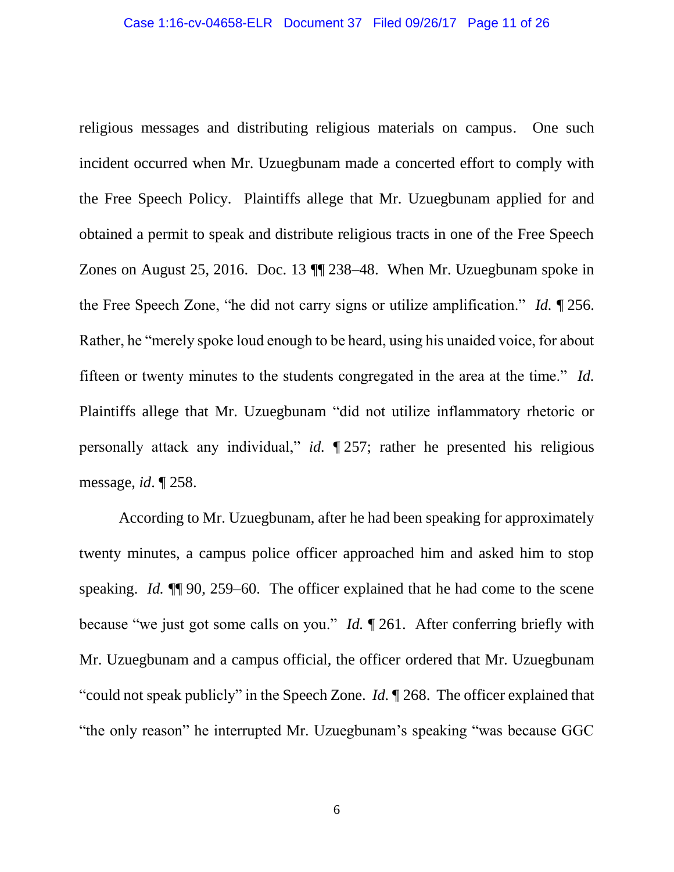religious messages and distributing religious materials on campus. One such incident occurred when Mr. Uzuegbunam made a concerted effort to comply with the Free Speech Policy. Plaintiffs allege that Mr. Uzuegbunam applied for and obtained a permit to speak and distribute religious tracts in one of the Free Speech Zones on August 25, 2016. Doc. 13 ¶¶ 238–48. When Mr. Uzuegbunam spoke in the Free Speech Zone, "he did not carry signs or utilize amplification." *Id.* ¶ 256. Rather, he "merely spoke loud enough to be heard, using his unaided voice, for about fifteen or twenty minutes to the students congregated in the area at the time." *Id.* Plaintiffs allege that Mr. Uzuegbunam "did not utilize inflammatory rhetoric or personally attack any individual," *id.* ¶ 257; rather he presented his religious message, *id*. ¶ 258.

According to Mr. Uzuegbunam, after he had been speaking for approximately twenty minutes, a campus police officer approached him and asked him to stop speaking. *Id.* ¶¶ 90, 259–60. The officer explained that he had come to the scene because "we just got some calls on you." *Id.* ¶ 261. After conferring briefly with Mr. Uzuegbunam and a campus official, the officer ordered that Mr. Uzuegbunam "could not speak publicly" in the Speech Zone. *Id.* ¶ 268. The officer explained that "the only reason" he interrupted Mr. Uzuegbunam's speaking "was because GGC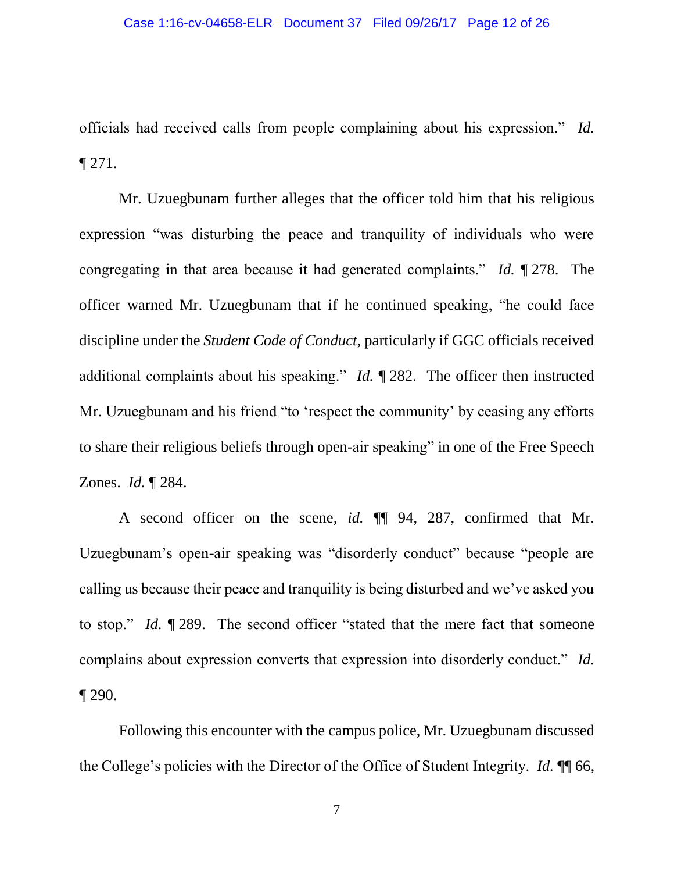officials had received calls from people complaining about his expression." *Id.* ¶ 271.

Mr. Uzuegbunam further alleges that the officer told him that his religious expression "was disturbing the peace and tranquility of individuals who were congregating in that area because it had generated complaints." *Id.* ¶ 278. The officer warned Mr. Uzuegbunam that if he continued speaking, "he could face discipline under the *Student Code of Conduct*, particularly if GGC officials received additional complaints about his speaking." *Id.* ¶ 282. The officer then instructed Mr. Uzuegbunam and his friend "to 'respect the community' by ceasing any efforts to share their religious beliefs through open-air speaking" in one of the Free Speech Zones. *Id.* ¶ 284.

A second officer on the scene, *id.* ¶¶ 94, 287, confirmed that Mr. Uzuegbunam's open-air speaking was "disorderly conduct" because "people are calling us because their peace and tranquility is being disturbed and we've asked you to stop." *Id.* ¶ 289. The second officer "stated that the mere fact that someone complains about expression converts that expression into disorderly conduct." *Id.*  $\P$  290.

Following this encounter with the campus police, Mr. Uzuegbunam discussed the College's policies with the Director of the Office of Student Integrity. *Id.* ¶¶ 66,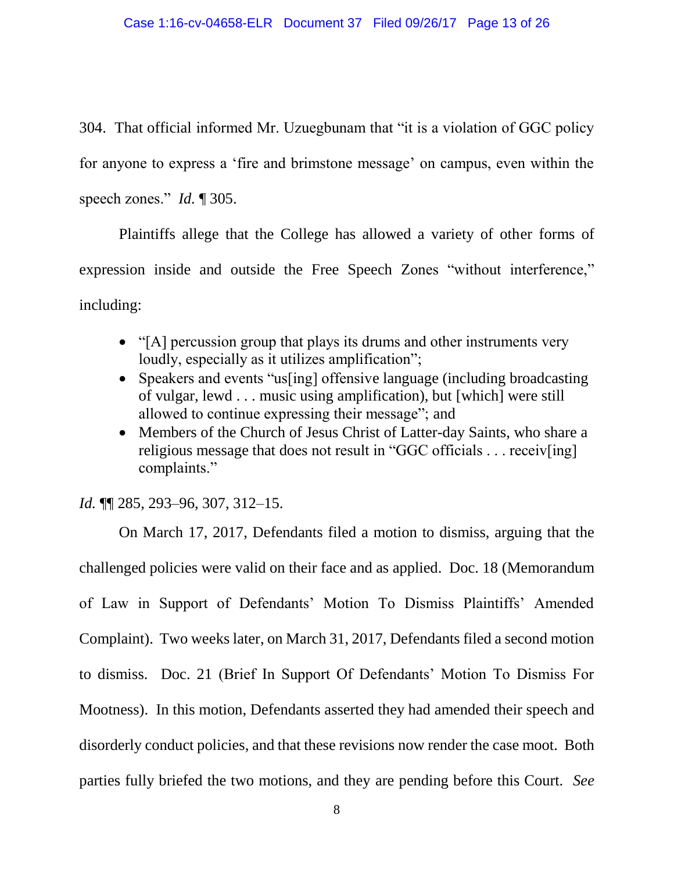304. That official informed Mr. Uzuegbunam that "it is a violation of GGC policy for anyone to express a 'fire and brimstone message' on campus, even within the speech zones." *Id.* ¶ 305.

Plaintiffs allege that the College has allowed a variety of other forms of expression inside and outside the Free Speech Zones "without interference," including:

- "[A] percussion group that plays its drums and other instruments very loudly, especially as it utilizes amplification";
- Speakers and events "us[ing] offensive language (including broadcasting of vulgar, lewd . . . music using amplification), but [which] were still allowed to continue expressing their message"; and
- Members of the Church of Jesus Christ of Latter-day Saints, who share a religious message that does not result in "GGC officials . . . receiv[ing] complaints."

*Id.* ¶¶ 285, 293–96, 307, 312–15.

On March 17, 2017, Defendants filed a motion to dismiss, arguing that the challenged policies were valid on their face and as applied. Doc. 18 (Memorandum of Law in Support of Defendants' Motion To Dismiss Plaintiffs' Amended Complaint). Two weeks later, on March 31, 2017, Defendants filed a second motion to dismiss. Doc. 21 (Brief In Support Of Defendants' Motion To Dismiss For Mootness). In this motion, Defendants asserted they had amended their speech and disorderly conduct policies, and that these revisions now render the case moot. Both parties fully briefed the two motions, and they are pending before this Court. *See*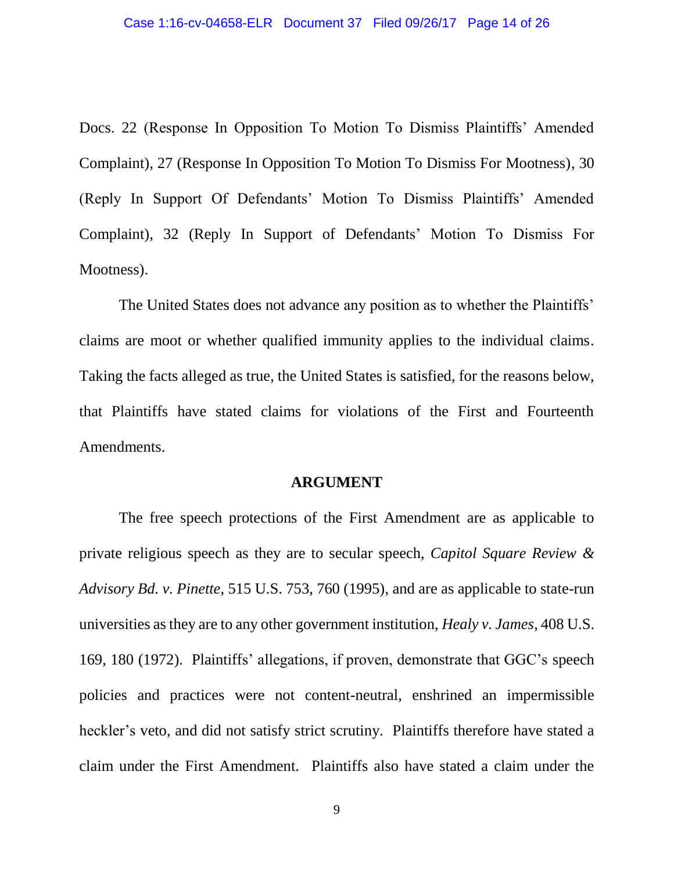Docs. 22 (Response In Opposition To Motion To Dismiss Plaintiffs' Amended Complaint), 27 (Response In Opposition To Motion To Dismiss For Mootness), 30 (Reply In Support Of Defendants' Motion To Dismiss Plaintiffs' Amended Complaint), 32 (Reply In Support of Defendants' Motion To Dismiss For Mootness).

The United States does not advance any position as to whether the Plaintiffs' claims are moot or whether qualified immunity applies to the individual claims. Taking the facts alleged as true, the United States is satisfied, for the reasons below, that Plaintiffs have stated claims for violations of the First and Fourteenth Amendments.

#### **ARGUMENT**

The free speech protections of the First Amendment are as applicable to private religious speech as they are to secular speech, *Capitol Square Review & Advisory Bd. v. Pinette*, 515 U.S. 753, 760 (1995), and are as applicable to state-run universities as they are to any other government institution, *Healy v. James*, 408 U.S. 169, 180 (1972). Plaintiffs' allegations, if proven, demonstrate that GGC's speech policies and practices were not content-neutral, enshrined an impermissible heckler's veto, and did not satisfy strict scrutiny. Plaintiffs therefore have stated a claim under the First Amendment. Plaintiffs also have stated a claim under the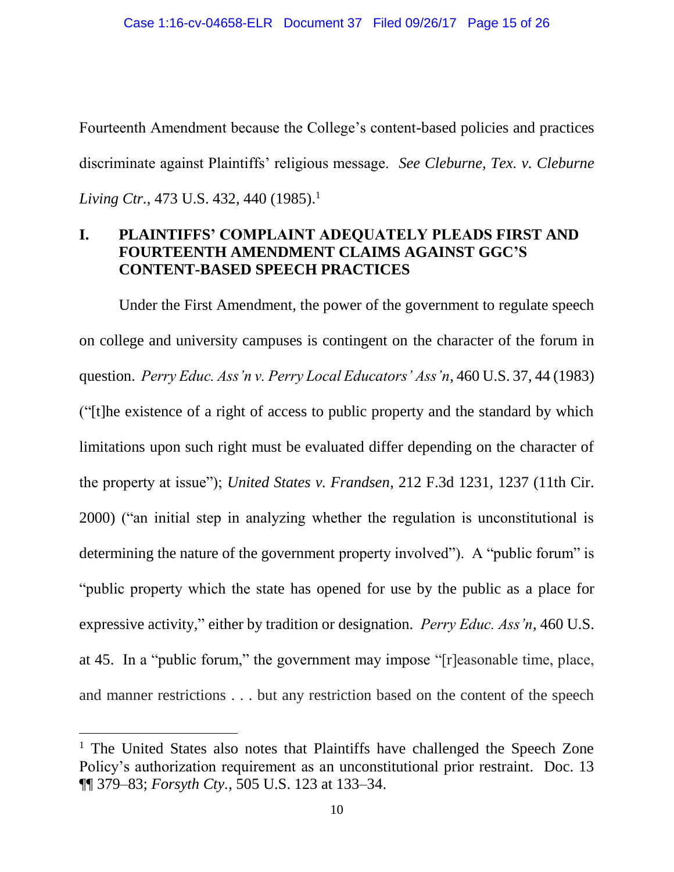Fourteenth Amendment because the College's content-based policies and practices discriminate against Plaintiffs' religious message. *See Cleburne, Tex. v. Cleburne Living Ctr.*, 473 U.S. 432, 440 (1985). 1

### **I. PLAINTIFFS' COMPLAINT ADEQUATELY PLEADS FIRST AND FOURTEENTH AMENDMENT CLAIMS AGAINST GGC'S CONTENT-BASED SPEECH PRACTICES**

Under the First Amendment, the power of the government to regulate speech on college and university campuses is contingent on the character of the forum in question. *Perry Educ. Ass'n v. Perry Local Educators' Ass'n*, 460 U.S. 37, 44 (1983) ("[t]he existence of a right of access to public property and the standard by which limitations upon such right must be evaluated differ depending on the character of the property at issue"); *United States v. Frandsen*, 212 F.3d 1231, 1237 (11th Cir. 2000) ("an initial step in analyzing whether the regulation is unconstitutional is determining the nature of the government property involved"). A "public forum" is "public property which the state has opened for use by the public as a place for expressive activity," either by tradition or designation. *Perry Educ. Ass'n*, 460 U.S. at 45. In a "public forum," the government may impose "[r]easonable time, place, and manner restrictions . . . but any restriction based on the content of the speech

 $\overline{a}$ 

<sup>&</sup>lt;sup>1</sup> The United States also notes that Plaintiffs have challenged the Speech Zone Policy's authorization requirement as an unconstitutional prior restraint. Doc. 13 ¶¶ 379–83; *Forsyth Cty.*, 505 U.S. 123 at 133–34.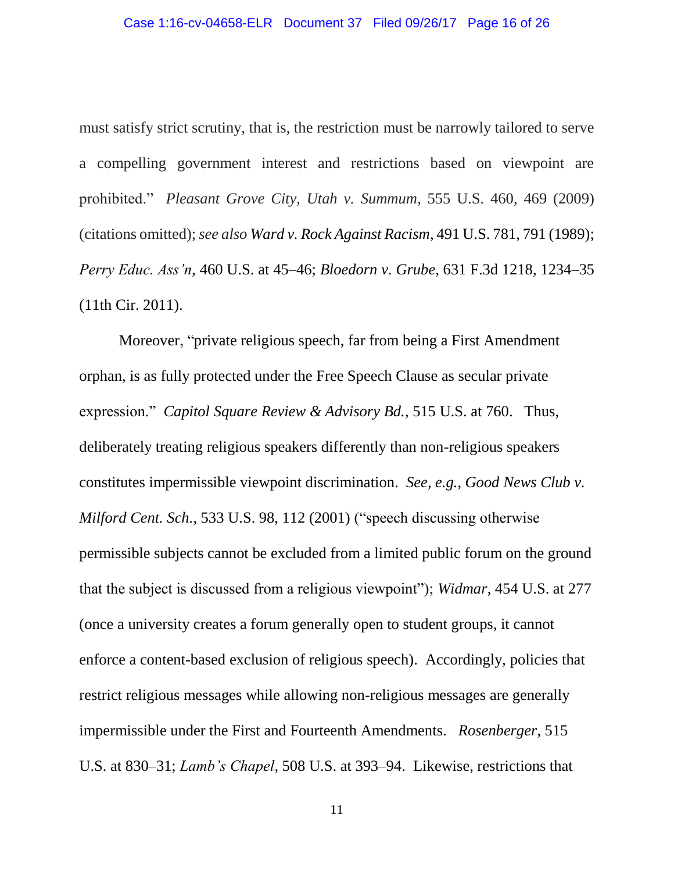must satisfy strict scrutiny, that is, the restriction must be narrowly tailored to serve a compelling government interest and restrictions based on viewpoint are prohibited." *Pleasant Grove City, Utah v. Summum*, 555 U.S. 460, 469 (2009) (citations omitted); *see also Ward v. Rock Against Racism*, 491 U.S. 781, 791 (1989); *Perry Educ. Ass'n*, 460 U.S. at 45–46; *Bloedorn v. Grube*, 631 F.3d 1218, 1234–35 (11th Cir. 2011).

Moreover, "private religious speech, far from being a First Amendment orphan, is as fully protected under the Free Speech Clause as secular private expression." *Capitol Square Review & Advisory Bd.*, 515 U.S. at 760. Thus, deliberately treating religious speakers differently than non-religious speakers constitutes impermissible viewpoint discrimination. *See, e.g.*, *Good News Club v. Milford Cent. Sch.*, 533 U.S. 98, 112 (2001) ("speech discussing otherwise permissible subjects cannot be excluded from a limited public forum on the ground that the subject is discussed from a religious viewpoint"); *Widmar*, 454 U.S. at 277 (once a university creates a forum generally open to student groups, it cannot enforce a content-based exclusion of religious speech). Accordingly, policies that restrict religious messages while allowing non-religious messages are generally impermissible under the First and Fourteenth Amendments. *Rosenberger*, 515 U.S. at 830–31; *Lamb's Chapel*, 508 U.S. at 393–94. Likewise, restrictions that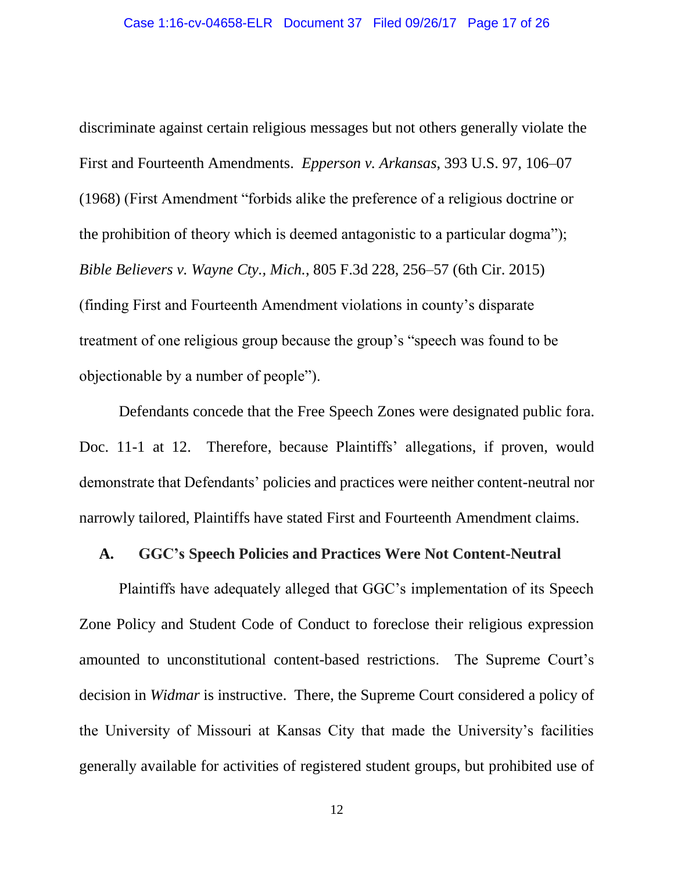discriminate against certain religious messages but not others generally violate the First and Fourteenth Amendments. *Epperson v. Arkansas*, 393 U.S. 97, 106–07 (1968) (First Amendment "forbids alike the preference of a religious doctrine or the prohibition of theory which is deemed antagonistic to a particular dogma"); *Bible Believers v. Wayne Cty., Mich.*, 805 F.3d 228, 256–57 (6th Cir. 2015) (finding First and Fourteenth Amendment violations in county's disparate treatment of one religious group because the group's "speech was found to be objectionable by a number of people").

Defendants concede that the Free Speech Zones were designated public fora. Doc. 11-1 at 12. Therefore, because Plaintiffs' allegations, if proven, would demonstrate that Defendants' policies and practices were neither content-neutral nor narrowly tailored, Plaintiffs have stated First and Fourteenth Amendment claims.

#### **A. GGC's Speech Policies and Practices Were Not Content-Neutral**

Plaintiffs have adequately alleged that GGC's implementation of its Speech Zone Policy and Student Code of Conduct to foreclose their religious expression amounted to unconstitutional content-based restrictions. The Supreme Court's decision in *Widmar* is instructive. There, the Supreme Court considered a policy of the University of Missouri at Kansas City that made the University's facilities generally available for activities of registered student groups, but prohibited use of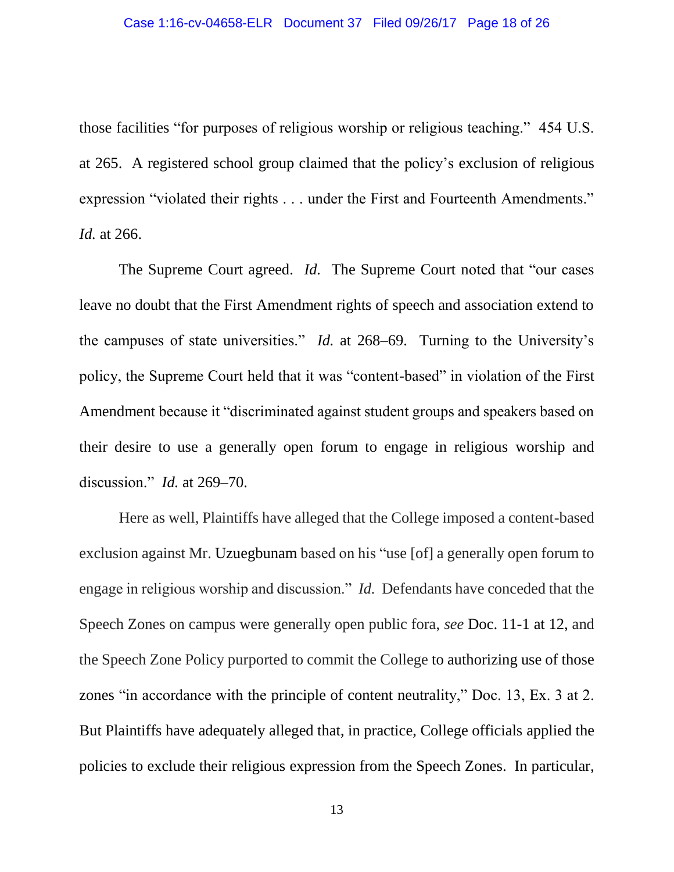those facilities "for purposes of religious worship or religious teaching." 454 U.S. at 265. A registered school group claimed that the policy's exclusion of religious expression "violated their rights . . . under the First and Fourteenth Amendments." *Id.* at 266.

The Supreme Court agreed. *Id.* The Supreme Court noted that "our cases" leave no doubt that the First Amendment rights of speech and association extend to the campuses of state universities." *Id.* at 268–69. Turning to the University's policy, the Supreme Court held that it was "content-based" in violation of the First Amendment because it "discriminated against student groups and speakers based on their desire to use a generally open forum to engage in religious worship and discussion." *Id.* at 269–70.

Here as well, Plaintiffs have alleged that the College imposed a content-based exclusion against Mr. Uzuegbunam based on his "use [of] a generally open forum to engage in religious worship and discussion." *Id.* Defendants have conceded that the Speech Zones on campus were generally open public fora, *see* Doc. 11-1 at 12, and the Speech Zone Policy purported to commit the College to authorizing use of those zones "in accordance with the principle of content neutrality," Doc. 13, Ex. 3 at 2. But Plaintiffs have adequately alleged that, in practice, College officials applied the policies to exclude their religious expression from the Speech Zones. In particular,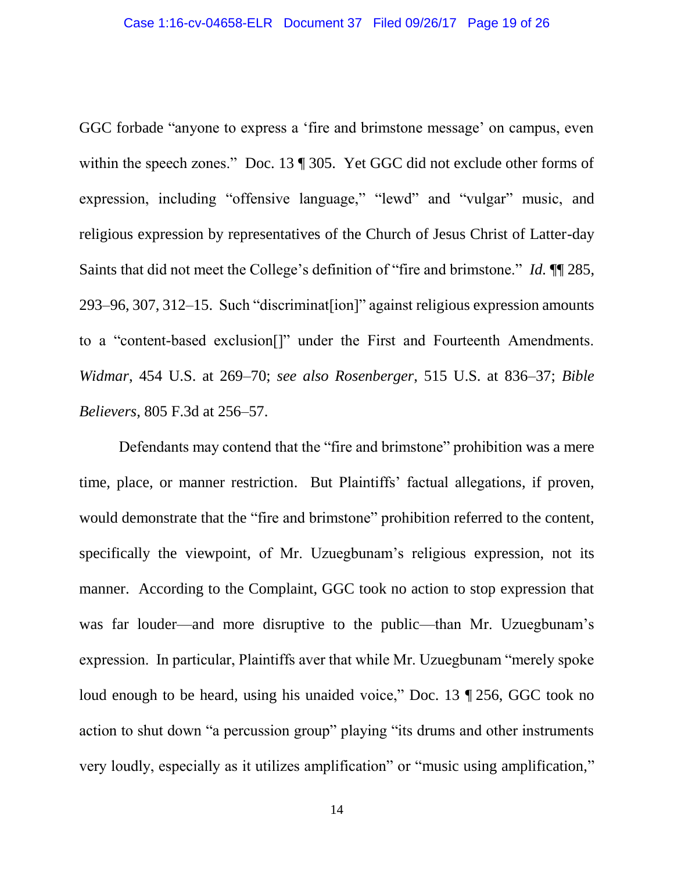GGC forbade "anyone to express a 'fire and brimstone message' on campus, even within the speech zones." Doc. 13 ¶ 305. Yet GGC did not exclude other forms of expression, including "offensive language," "lewd" and "vulgar" music, and religious expression by representatives of the Church of Jesus Christ of Latter-day Saints that did not meet the College's definition of "fire and brimstone." *Id.* ¶¶ 285, 293–96, 307, 312–15. Such "discriminat[ion]" against religious expression amounts to a "content-based exclusion[]" under the First and Fourteenth Amendments. *Widmar*, 454 U.S. at 269–70; *see also Rosenberger*, 515 U.S. at 836–37; *Bible Believers*, 805 F.3d at 256–57.

Defendants may contend that the "fire and brimstone" prohibition was a mere time, place, or manner restriction. But Plaintiffs' factual allegations, if proven, would demonstrate that the "fire and brimstone" prohibition referred to the content, specifically the viewpoint, of Mr. Uzuegbunam's religious expression, not its manner. According to the Complaint, GGC took no action to stop expression that was far louder—and more disruptive to the public—than Mr. Uzuegbunam's expression. In particular, Plaintiffs aver that while Mr. Uzuegbunam "merely spoke loud enough to be heard, using his unaided voice," Doc. 13 ¶ 256, GGC took no action to shut down "a percussion group" playing "its drums and other instruments very loudly, especially as it utilizes amplification" or "music using amplification,"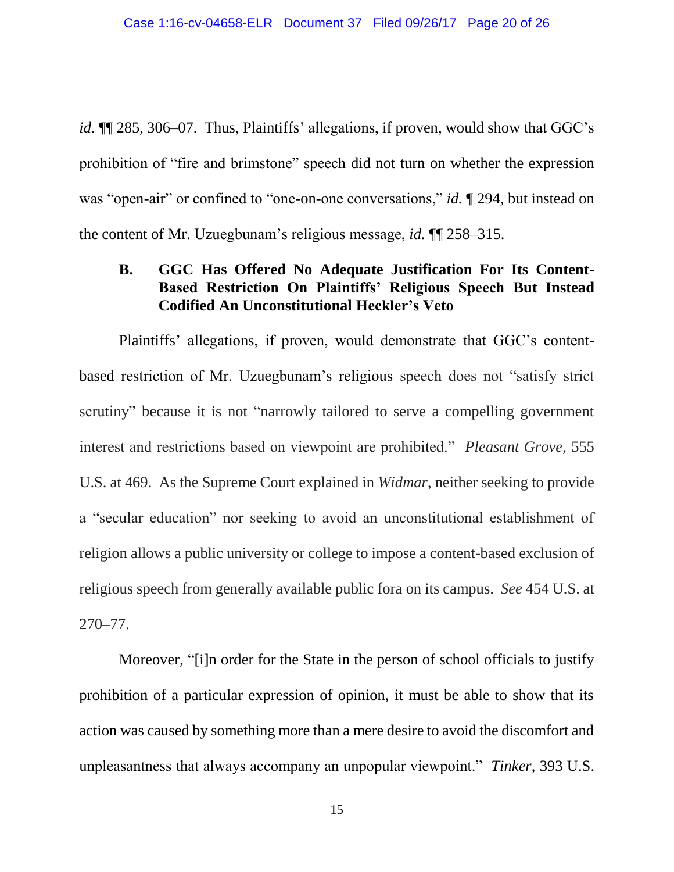*id.* ¶¶ 285, 306–07. Thus, Plaintiffs' allegations, if proven, would show that GGC's prohibition of "fire and brimstone" speech did not turn on whether the expression was "open-air" or confined to "one-on-one conversations," *id.* 19294, but instead on the content of Mr. Uzuegbunam's religious message, *id.* ¶¶ 258–315.

## **B. GGC Has Offered No Adequate Justification For Its Content-Based Restriction On Plaintiffs' Religious Speech But Instead Codified An Unconstitutional Heckler's Veto**

Plaintiffs' allegations, if proven, would demonstrate that GGC's contentbased restriction of Mr. Uzuegbunam's religious speech does not "satisfy strict scrutiny" because it is not "narrowly tailored to serve a compelling government interest and restrictions based on viewpoint are prohibited." *Pleasant Grove*, 555 U.S. at 469. As the Supreme Court explained in *Widmar*, neither seeking to provide a "secular education" nor seeking to avoid an unconstitutional establishment of religion allows a public university or college to impose a content-based exclusion of religious speech from generally available public fora on its campus. *See* 454 U.S. at 270–77.

Moreover, "[i]n order for the State in the person of school officials to justify prohibition of a particular expression of opinion, it must be able to show that its action was caused by something more than a mere desire to avoid the discomfort and unpleasantness that always accompany an unpopular viewpoint." *Tinker*, 393 U.S.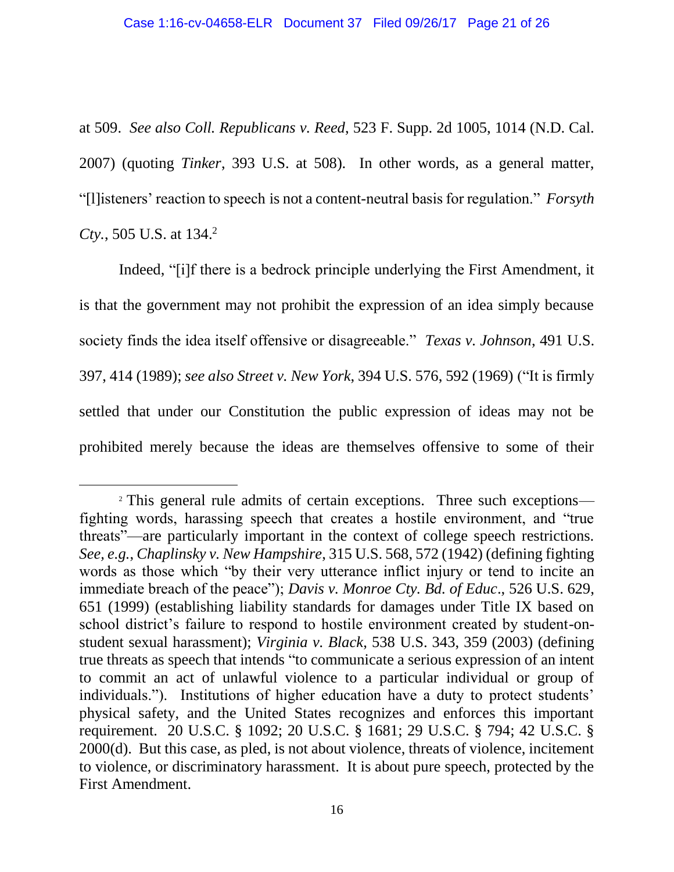at 509. *See also Coll. Republicans v. Reed*, 523 F. Supp. 2d 1005, 1014 (N.D. Cal. 2007) (quoting *Tinker*, 393 U.S. at 508). In other words, as a general matter, "[l]isteners' reaction to speech is not a content-neutral basis for regulation." *Forsyth Cty.*, 505 U.S. at 134. 2

Indeed, "[i]f there is a bedrock principle underlying the First Amendment, it is that the government may not prohibit the expression of an idea simply because society finds the idea itself offensive or disagreeable." *Texas v. Johnson*, 491 U.S. 397, 414 (1989); *see also Street v. New York*, 394 U.S. 576, 592 (1969) ("It is firmly settled that under our Constitution the public expression of ideas may not be prohibited merely because the ideas are themselves offensive to some of their

 $\overline{a}$ 

<sup>&</sup>lt;sup>2</sup> This general rule admits of certain exceptions. Three such exceptions fighting words, harassing speech that creates a hostile environment, and "true threats"—are particularly important in the context of college speech restrictions. *See, e.g.*, *Chaplinsky v. New Hampshire*, 315 U.S. 568, 572 (1942) (defining fighting words as those which "by their very utterance inflict injury or tend to incite an immediate breach of the peace"); *Davis v. Monroe Cty. Bd. of Educ*., 526 U.S. 629, 651 (1999) (establishing liability standards for damages under Title IX based on school district's failure to respond to hostile environment created by student-onstudent sexual harassment); *Virginia v. Black*, 538 U.S. 343, 359 (2003) (defining true threats as speech that intends "to communicate a serious expression of an intent to commit an act of unlawful violence to a particular individual or group of individuals."). Institutions of higher education have a duty to protect students' physical safety, and the United States recognizes and enforces this important requirement. 20 U.S.C. § 1092; 20 U.S.C. § 1681; 29 U.S.C. § 794; 42 U.S.C. § 2000(d). But this case, as pled, is not about violence, threats of violence, incitement to violence, or discriminatory harassment. It is about pure speech, protected by the First Amendment.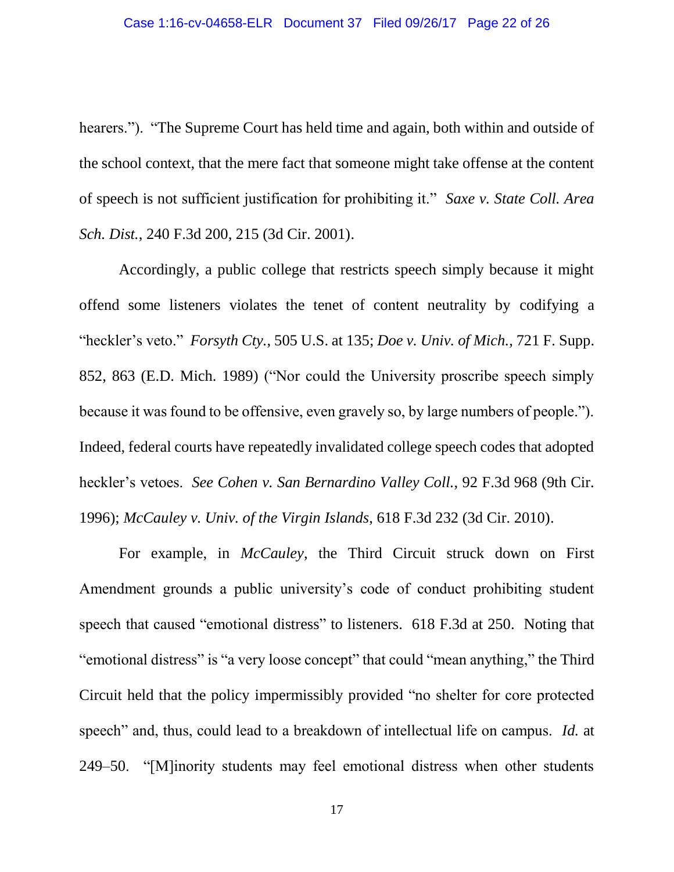hearers."). "The Supreme Court has held time and again, both within and outside of the school context, that the mere fact that someone might take offense at the content of speech is not sufficient justification for prohibiting it." *Saxe v. State Coll. Area Sch. Dist.*, 240 F.3d 200, 215 (3d Cir. 2001).

Accordingly, a public college that restricts speech simply because it might offend some listeners violates the tenet of content neutrality by codifying a "heckler's veto." *Forsyth Cty.*, 505 U.S. at 135; *Doe v. Univ. of Mich.*, 721 F. Supp. 852, 863 (E.D. Mich. 1989) ("Nor could the University proscribe speech simply because it was found to be offensive, even gravely so, by large numbers of people."). Indeed, federal courts have repeatedly invalidated college speech codes that adopted heckler's vetoes. *See Cohen v. San Bernardino Valley Coll.*, 92 F.3d 968 (9th Cir. 1996); *McCauley v. Univ. of the Virgin Islands*, 618 F.3d 232 (3d Cir. 2010).

For example, in *McCauley*, the Third Circuit struck down on First Amendment grounds a public university's code of conduct prohibiting student speech that caused "emotional distress" to listeners. 618 F.3d at 250. Noting that "emotional distress" is "a very loose concept" that could "mean anything," the Third Circuit held that the policy impermissibly provided "no shelter for core protected speech" and, thus, could lead to a breakdown of intellectual life on campus. *Id.* at 249–50. "[M]inority students may feel emotional distress when other students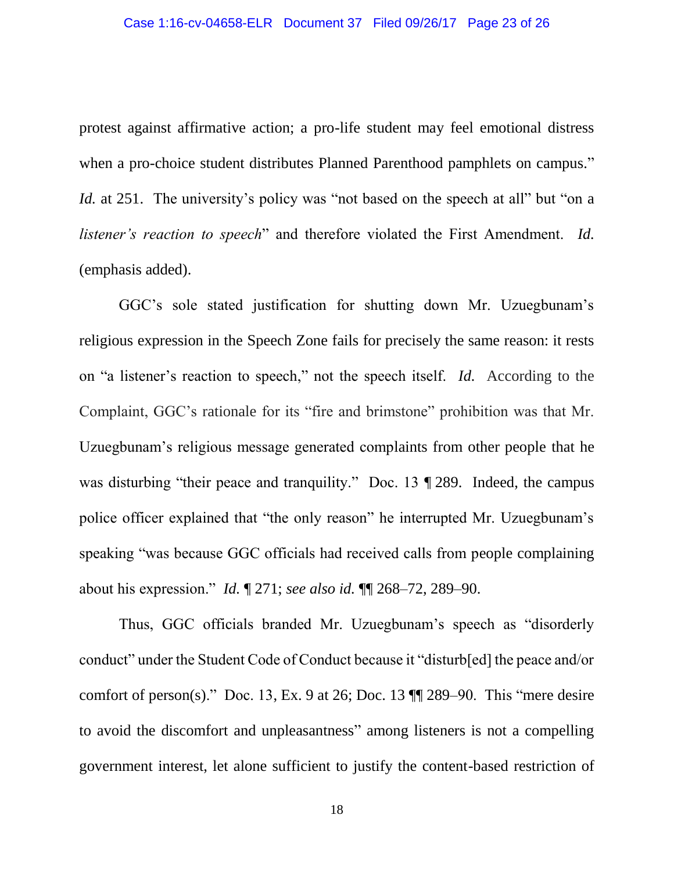protest against affirmative action; a pro-life student may feel emotional distress when a pro-choice student distributes Planned Parenthood pamphlets on campus." *Id.* at 251. The university's policy was "not based on the speech at all" but "on a *listener's reaction to speech*" and therefore violated the First Amendment. *Id.* (emphasis added).

GGC's sole stated justification for shutting down Mr. Uzuegbunam's religious expression in the Speech Zone fails for precisely the same reason: it rests on "a listener's reaction to speech," not the speech itself. *Id.* According to the Complaint, GGC's rationale for its "fire and brimstone" prohibition was that Mr. Uzuegbunam's religious message generated complaints from other people that he was disturbing "their peace and tranquility." Doc. 13 ¶ 289. Indeed, the campus police officer explained that "the only reason" he interrupted Mr. Uzuegbunam's speaking "was because GGC officials had received calls from people complaining about his expression." *Id.* ¶ 271; *see also id.* ¶¶ 268–72, 289–90.

Thus, GGC officials branded Mr. Uzuegbunam's speech as "disorderly conduct" under the Student Code of Conduct because it "disturb[ed] the peace and/or comfort of person(s)." Doc. 13, Ex. 9 at 26; Doc. 13  $\P$  289–90. This "mere desire to avoid the discomfort and unpleasantness" among listeners is not a compelling government interest, let alone sufficient to justify the content-based restriction of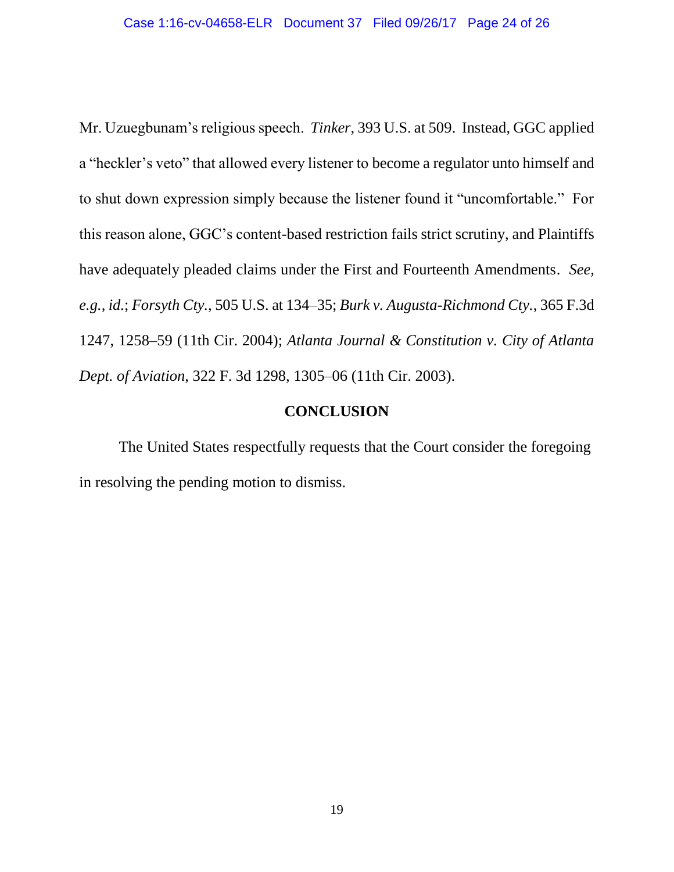Mr. Uzuegbunam's religious speech. *Tinker*, 393 U.S. at 509. Instead, GGC applied a "heckler's veto" that allowed every listener to become a regulator unto himself and to shut down expression simply because the listener found it "uncomfortable." For this reason alone, GGC's content-based restriction fails strict scrutiny, and Plaintiffs have adequately pleaded claims under the First and Fourteenth Amendments. *See, e.g., id.*; *Forsyth Cty.*, 505 U.S. at 134–35; *Burk v. Augusta-Richmond Cty.*, 365 F.3d 1247, 1258–59 (11th Cir. 2004); *Atlanta Journal & Constitution v. City of Atlanta Dept. of Aviation*, 322 F. 3d 1298, 1305–06 (11th Cir. 2003).

#### **CONCLUSION**

The United States respectfully requests that the Court consider the foregoing in resolving the pending motion to dismiss.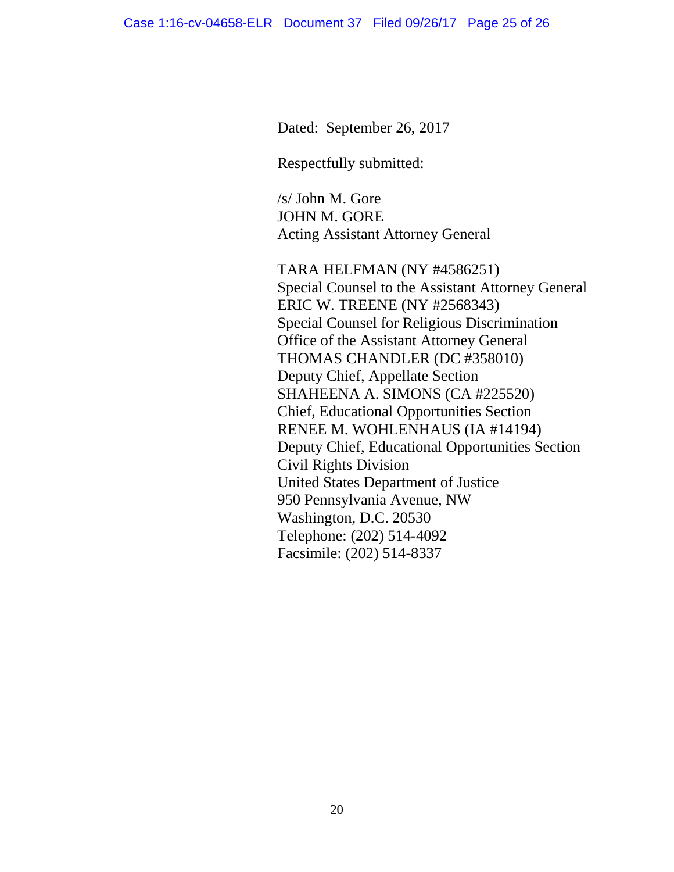Dated: September 26, 2017

Respectfully submitted:

 $/s/$  John M. Gore JOHN M. GORE Acting Assistant Attorney General

TARA HELFMAN (NY #4586251) Special Counsel to the Assistant Attorney General ERIC W. TREENE (NY #2568343) Special Counsel for Religious Discrimination Office of the Assistant Attorney General THOMAS CHANDLER (DC #358010) Deputy Chief, Appellate Section SHAHEENA A. SIMONS (CA #225520) Chief, Educational Opportunities Section RENEE M. WOHLENHAUS (IA #14194) Deputy Chief, Educational Opportunities Section Civil Rights Division United States Department of Justice 950 Pennsylvania Avenue, NW Washington, D.C. 20530 Telephone: (202) 514-4092 Facsimile: (202) 514-8337